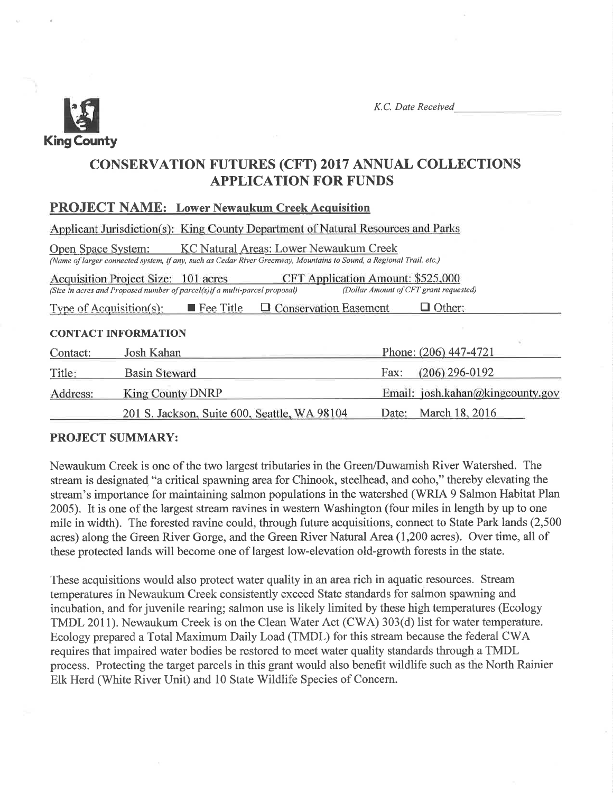

K.C. Date Received

# CONSERVATTON FUTURES (CFT) 2017 ANNUAL COLLECTTONS APPLICATION FOR FUNDS

PROJECT NAME: Lower Newaukum Creek Acquisition

|                         | Applicant Jurisdiction(s): King County Department of Natural Resources and Parks                                                                              |                                                                             |
|-------------------------|---------------------------------------------------------------------------------------------------------------------------------------------------------------|-----------------------------------------------------------------------------|
| Open Space System:      | KC Natural Areas: Lower Newaukum Creek<br>(Name of larger connected system, if any, such as Cedar River Greenway, Mountains to Sound, a Regional Trail, etc.) |                                                                             |
|                         | Acquisition Project Size: 101 acres<br>(Size in acres and Proposed number of parcel(s) if a multi-parcel proposal)                                            | CFT Application Amount: \$525,000<br>(Dollar Amount of CFT grant requested) |
| Type of Acquisition(s): | □ Conservation Easement<br><b>Fee Title</b>                                                                                                                   | Other:                                                                      |
|                         | <b>CONTACT INFORMATION</b>                                                                                                                                    |                                                                             |
| Contact:                | Josh Kahan                                                                                                                                                    | Phone: (206) 447-4721                                                       |
| Title:                  | <b>Basin Steward</b>                                                                                                                                          | $(206)$ 296-0192<br>Fax:                                                    |
| Address:                | <b>King County DNRP</b>                                                                                                                                       | Email: josh.kahan@kingcounty.gov                                            |
|                         | 201 S. Jackson, Suite 600, Seattle, WA 98104                                                                                                                  | March 18, 2016<br>Date:                                                     |

# PROJECT SUMMARY:

Newaukum Creek is one of the two largest tributaries in the Green/Duwamish River Watershed. The stream is designated "a critical spawning area for Chinook, steelhead, and coho," thereby elevating the stream's importance for maintaining salmon populations in the watershed (WRIA 9 Salmon Habitat Plan 2005). It is one of the largest stream ravines in westem Washington (four miles in length by up to one mile in width). The forested ravine could, through future acquisitions, connect to State Park lands (2,500 acres) along the Green River Gorge, and the Green River Natural Area(1,200 acres). Over time, all of these protected lands will become one of largest low-elevation old-growth forests in the state.

These acquisitions would also protect water quality in an area rich in aquatic resources. Stream temperatures in Newaukum Creek consistently exceed State standards for salmon spawning and incubation, and for juvenile rearing; salmon use is likely limited by these high temperatures (Ecology TMDL 2011). Newaukum Creek is on the Clean Water Act (CWA) 303(d) list for water temperature. Ecology prepared a Total Maximum Daily Load (TMDL) for this stream because the federal CWA requires that impaired water bodies be restored to meet water quality standards through a TMDL process. Protecting the target parcels in this grant would also benefit wildlife such as the North Rainier Elk Herd (White River Unit) and 10 State Wildlife Species of Concern.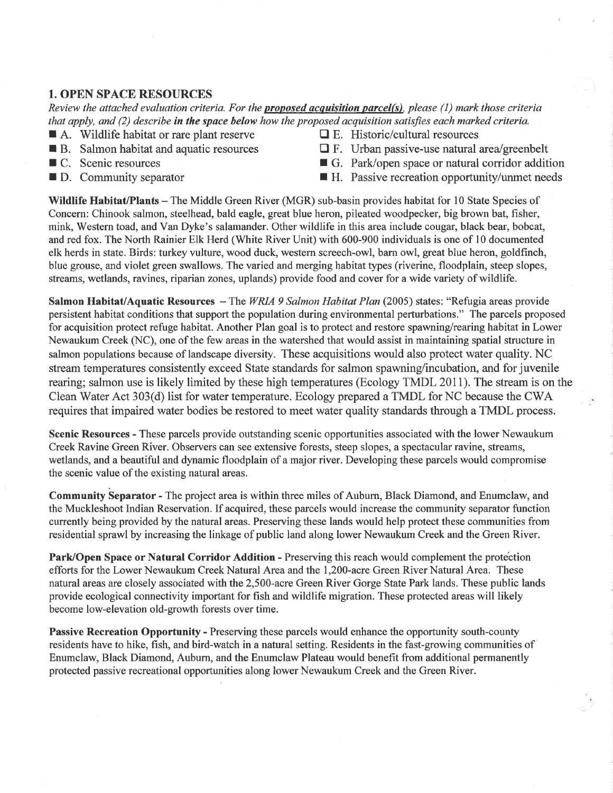# 1. OPEN SPACE RESOURCES

Review the attached evaluation criteria. For the **proposed acquisition parcel(s)**, please  $(1)$  mark those criteria that apply, and (2) describe in the space below how the proposed acquisition satisfies each marked criteria.

- **f A.** Wildlife habitat or rare plant reserve  $\Box$  E. Historic/cultural resources **in E.** Salmon habitat and aquatic resources  $\Box$  F. Urban passive-use natural
- 
- 
- 
- 
- $\Box$  F. Urban passive-use natural area/greenbelt
- C. Scenic resources G. Park/open space or natural corridor addition
- $\blacksquare$  D. Community separator  $\blacksquare$  H. Passive recreation opportunity/unmet needs

Wildlife Habitat/Plants – The Middle Green River (MGR) sub-basin provides habitat for 10 State Species of Concern: Chinook salmon, steelhead, bald eagle, great blue heron, pileated woodpecker, big brown bat, fisher, mink, Western toad, and Van Dyke's salamander. Other wildlife in this area include cougar, black bear, bobcat, and red fox. The North Rainier Elk Herd (White River Unit) with 600-900 individuals is one of l0 documented elk herds in state. Birds: turkey vulture, wood duck, western screech-owl, barn owl, great blue heron, goldfinch, blue grouse, and violet green swallows. The varied and merging habitat types (riverine, floodplain, steep slopes, streams, wetlands, ravines, riparian zones, uplands) provide food and cover for a wide variety of wildlife.

Salmon Habitat/Aquatic Resources  $-$  The WRIA 9 Salmon Habitat Plan (2005) states: "Refugia areas provide persistent habitat conditions that support the population during environmental perturbations." The parcels proposed for acquisition protect refuge habitat. Another Plan goal is to protect and restore spawning/rearing habitat in Lower Newaukum Creek (NC), one of the few areas in the watershed that would assist in maintaining spatial structure in salmon populations because of landscape diversity. These acquisitions would also protect water quality. NC stream temperatures consistently exceed State standards for salmon spawning/incubation, and for juvenile rearing; salmon use is likely limited by these high temperatures (Ecology TMDL 20II). The stream is on the Clean Water Act 303(d) list for water temperature. Ecology prepared a TMDL for NC because the CWA requires that impaired water bodies be restored to meet water quality standards through a TMDL process.

Scenic Resources - These parcels provide outstanding scenic opportunities associated with the lower Newaukum Creek Ravine Green River. Observers can see extensive forests, steep slopes, a spectacular ravine, streams, wetlands, and a beautiful and dynamic floodplain of a major river. Developing these parcels would compromise the scenic value of the existing natural areas.

Community beparator - The project area is within three miles of Aubum, Black Diamond, and Enumclaw, and the Muckleshoot Indian Reservation. If acquired, these parcels would increase the community separator function curently being provided by the natural areas. Preserving these lands would help protect these communities from residential sprawl by increasing the linkage of public land along lower Newaukum Creek and the Green River.

Park/Open Space or Natural Corridor Addition - Preserving this reach would complement the protection efforts for the Lower Newaukum Creek Natural Area and the 1,200-acre Green River Natural Area. These natural areas are closely associated with the 2,500-acre Green River Gorge State Park lands. These public lands provide ecological connectivity important for fish and wildlife migration. These protected areas will likely become low-elevation old-growth forests over time.

Passive Recreation Opportunity - Preserving these parcels would enhance the opportunity south-county residents have to hike, fish, and bird-watch in a natural setting. Residents in the fast-growing communities of Enumclaw, Black Diamond, Auburn, and the Enumclaw Plateau would benefit from additional permanently protected passive recreational opportunities along lower Newaukum Creek and the Green River.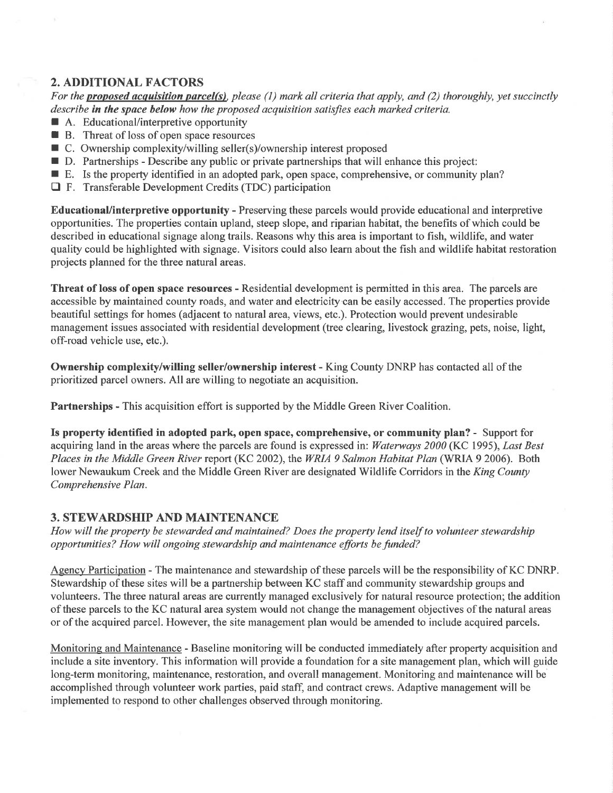# 2. ADDITIONAL FACTORS

For the **proposed acquisition parcel(s)**, please (1) mark all criteria that apply, and (2) thoroughly, yet succinctly describe in the space below how the proposed acquisition satisfies each marked criteria.

- A. Educational/interpretive opportunity
- $\blacksquare$  B. Threat of loss of open space resources
- $\blacksquare$  C. Ownership complexity/willing seller(s)/ownership interest proposed
- $\blacksquare$  D. Partnerships Describe any public or private partnerships that will enhance this project:
- $\blacksquare$  E. Is the property identified in an adopted park, open space, comprehensive, or community plan?
- $\Box$  F. Transferable Development Credits (TDC) participation

EducationaUinterpretive opportunity - Preserving these parcels would provide educational and interpretive opportunities. The properties contain upland, steep slope, and riparian habitat, the benefits of which could be described in educational signage along trails. Reasons why this area is important to fish, wildlife, and water quality could be highlighted with signage. Visitors could also learn about the fish and wildlife habitat restoration projects planned for the three natural areas.

Threat of loss of open space resources - Residential development is permitted in this area. The parcels are accessible by maintained county roads, and water and electricity can be easily accessed. The properties provide beautiful settings for homes (adjacent to natural area, views, etc.). Protection would prevent undesirable management issues associated with residential development (tree clearing, livestock grazing, pets, noise, light, off-road vehicle use, etc.).

Ownership complexity/willing seller/ownership interest - King County DNRP has contacted all of the prioritized parcel owners. All are willing to negotiate an acquisition.

Partnerships - This acquisition effort is supported by the Middle Green River Coalition.

Is property identifred in adopted park, open space, comprehensiye, or community plan? - Support for acquiring land in the areas where the parcels are found is expressed in: Waterways 2000 (KC 1995), Last Best Places in the Middle Green River report (KC 2002), the WRIA 9 Salmon Habitat Plan (WRIA 9 2006). Both lower Newaukum Creek and the Middle Green River are designated Wildlife Corridors in the King County Comprehensive Plan.

# 3. STEWARDSHIP AND MAINTENANCE

How will the property be stewarded and maintained? Does the property lend itself to volunteer stewardship opportunities? How will ongoing stewardship and maintenance efforts be funded?

Agency Participation - The maintenance and stewardship of these parcels will be the responsibility of KC DNRP. Stewardship of these sites will be a partnership between KC staff and community stewardship groups and volunteers. The three natural areas are currently managed exclusively for natural resource protection; the addition of these parcels to the KC natural area system would not change the management objectives of the natural areas or of the acquired parcel. However, the site management plan would be amended to include acquired parcels.

Monitoring and Maintenance - Baseline monitoring will be conducted immediately after property acquisition and include a site inventory. This information will provide a foundation for a site management plan, which will guide long-term monitoring, maintenance, restoration, and overall management. Monitoring and maintenance will be accomplished through volunteer work parties, paid staff, and contract crews. Adaptive management will be implemented to respond to other challenges observed through monitoring.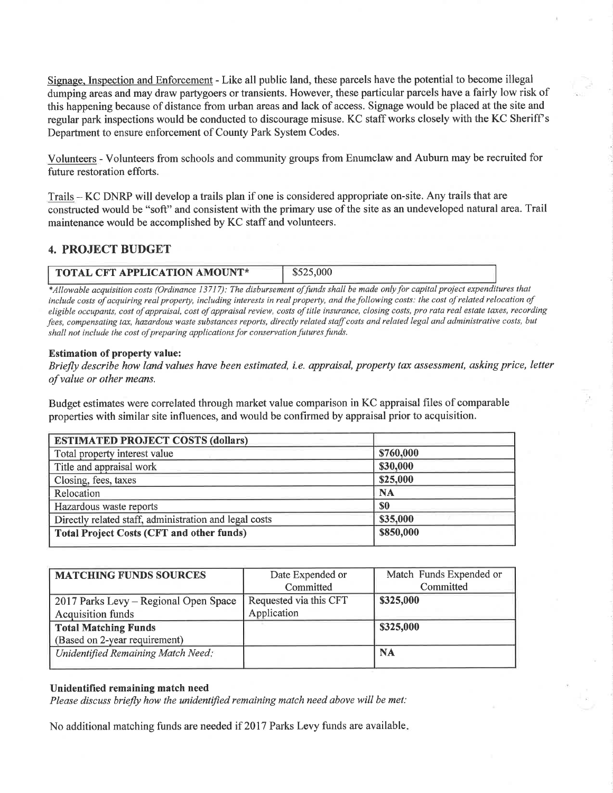Signage. Inspection and Enforcement - Like all public land, these parcels have the potential to become illegal dumping areas and may draw partygoers or transients. However, these particular parcels have a fairly low risk of this happening because of distance from urban areas and lack of access. Signage would be placed at the site and regular park inspections would be conducted to discourage misuse. KC staff works closely with the KC Sheriff's Department to ensure enforcement of County Park System Codes.

Volunteers - Volunteers from schools and community groups from Enumclaw and Auburn may be recruited for future restoration efforts.

Trails - KC DNRP will develop a trails plan if one is considered appropriate on-site. Any trails that are constructed would be "soft" and consistent with the primary use of the site as an undeveloped natural area. Trail maintenance would be accomplished by KC staff and volunteers.

# 4. PROJECT BUDGET

| \$525,000<br>$\sqrt{\ }$ TOTAL CFT APPLICATION AMOUNT* |
|--------------------------------------------------------|
|--------------------------------------------------------|

\*Allowable acquisition costs (Ordinance 13717): The disbursement of funds shall be made only for capital project expenditures that include costs of acquiring real property, including interests in real property, and the following costs: the cost of related relocation of eligible occupants, cost of appraisal, cost of appraisal review, costs of title insurance, closing costs, pro rata real estate taxes, recording fees, compensating tax, hazardous waste substances reports, directly related staff costs and related legal and administrative costs, but shall not include the cost of preparing applications for conservation futures funds.

#### Estimation of property value:

Briefly describe how land values have been estimated, i.e. appraisal, property tax assessment, asking price, letter of value or other means.

Budget estimates were correlated through market value comparison in KC appraisal files of comparable properties with similar site influences, and would be confirmed by appraisal prior to acquisition.

| <b>ESTIMATED PROJECT COSTS (dollars)</b>               |           |  |  |
|--------------------------------------------------------|-----------|--|--|
| Total property interest value                          | \$760,000 |  |  |
| Title and appraisal work                               | \$30,000  |  |  |
| Closing, fees, taxes                                   | \$25,000  |  |  |
| Relocation                                             | <b>NA</b> |  |  |
| Hazardous waste reports                                | <b>SO</b> |  |  |
| Directly related staff, administration and legal costs | \$35,000  |  |  |
| <b>Total Project Costs (CFT and other funds)</b>       | \$850,000 |  |  |

| <b>MATCHING FUNDS SOURCES</b>         | Date Expended or       | Match Funds Expended or |
|---------------------------------------|------------------------|-------------------------|
|                                       | Committed              | Committed               |
| 2017 Parks Levy - Regional Open Space | Requested via this CFT | \$325,000               |
| <b>Acquisition funds</b>              | Application            |                         |
| <b>Total Matching Funds</b>           |                        | \$325,000               |
| (Based on 2-year requirement)         |                        |                         |
| Unidentified Remaining Match Need:    |                        | <b>NA</b>               |
|                                       |                        |                         |

#### Unidentified remaining match need

Please discuss briefly how the unidentified remaining match need above will be met:

No additional matching funds are needed if 2017 Parks Levy funds are available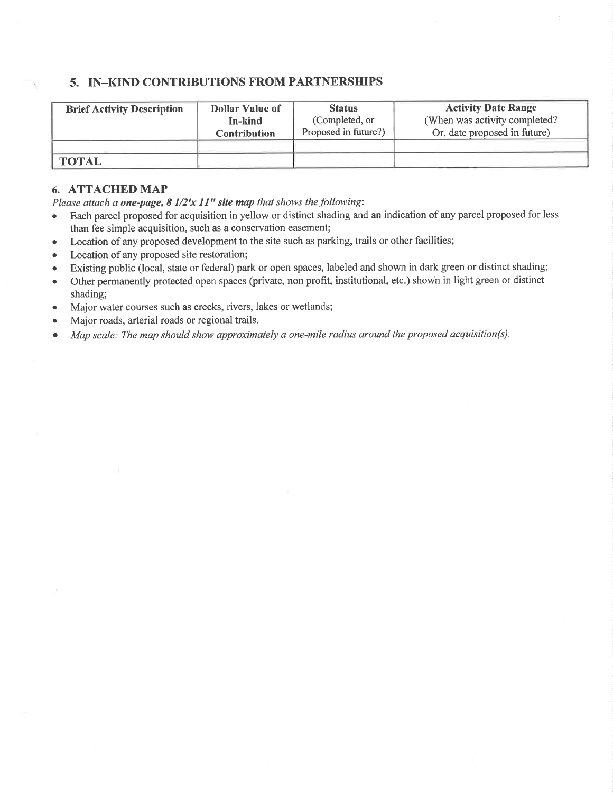## 5. IN\_KIND CONTRIBUTIONS FROM PARTNERSHIPS

| <b>Brief Activity Description</b> | <b>Dollar Value of</b> | <b>Status</b>        | <b>Activity Date Range</b>     |
|-----------------------------------|------------------------|----------------------|--------------------------------|
|                                   | In-kind                | (Completed, or       | (When was activity completed?) |
|                                   | <b>Contribution</b>    | Proposed in future?) | Or, date proposed in future)   |
|                                   |                        |                      |                                |
| <b>TOTAL</b>                      |                        |                      |                                |

# 6. ATTACHED MAP

Please attach a one-page,  $8\frac{1}{2}x\frac{11}{16}$  site map that shows the following:

- Each parcel proposed for acquisition in yellow or distinct shading and an indication of any parcel proposed for less than fee simple acquisition, such as a conservation easement;
- o Location of any proposed development to the site such as parking, trails or other facilities;
- Location of any proposed site restoration;
- o Existing public (local, state or federal) park or open spaces, labeled and shown in dark green or distinct shading;
- o Other permanently protected open spaces (private, non profit, institutional, etc.) shown in light green or distinct shading;
- . Major water courses such as creeks, rivers, lakes or wetlands;
- . Major roads, arterial roads or regional trails.
- Map scale: The map should show approximately a one-mile radius around the proposed acquisition(s).